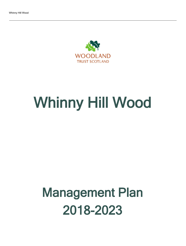

# Whinny Hill Wood

## Management Plan 2018-2023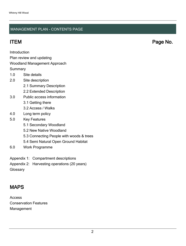#### MANAGEMENT PLAN - CONTENTS PAGE

Introduction

Plan review and updating

#### Woodland Management Approach

**Summary** 

- 1.0 Site details
- 2.0 Site description
	- 2.1 Summary Description
	- 2.2 Extended Description
- 3.0 Public access information
	- 3.1 Getting there
	- 3.2 Access / Walks
- 4.0 Long term policy
- 5.0 Key Features
	- 5.1 Secondary Woodland
	- 5.2 New Native Woodland
	- 5.3 Connecting People with woods & trees
	- 5.4 Semi Natural Open Ground Habitat
- 6.0 Work Programme
- Appendix 1: Compartment descriptions
- Appendix 2: Harvesting operations (20 years)
- **Glossary**

## MAPS

Access Conservation Features Management

ITEM Page No.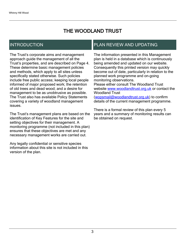## THE WOODLAND TRUST

## INTRODUCTION

The Trust's corporate aims and management approach guide the management of all the Trust's properties, and are described on Page 4. These determine basic management policies and methods, which apply to all sites unless specifically stated otherwise. Such policies include free public access; keeping local people informed of major proposed work; the retention of old trees and dead wood; and a desire for management to be as unobtrusive as possible. The Trust also has available Policy Statements covering a variety of woodland management issues.

The Trust's management plans are based on the identification of Key Features for the site and setting objectives for their management. A monitoring programme (not included in this plan) ensures that these objectives are met and any necessary management works are carried out.

Any legally confidential or sensitive species information about this site is not included in this version of the plan.

### PLAN REVIEW AND UPDATING

The information presented in this Management plan is held in a database which is continuously being amended and updated on our website. Consequently this printed version may quickly become out of date, particularly in relation to the planned work programme and on-going monitoring observations. Please either consult The Woodland Trust website [www.woodlandtrust.org.uk](http://www.woodlandtrust.org.uk/) or contact the Woodland Trust [\(wopsmail@woodlandtrust.org.uk](mailto:wopsmail@woodlandtrust.org.uk)) to confirm

details of the current management programme.

There is a formal review of this plan every 5 years and a summary of monitoring results can be obtained on request.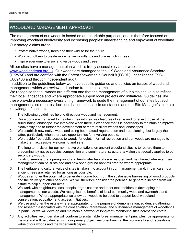## WOODLAND MANAGEMENT APPROACH

The management of our woods is based on our charitable purposes, and is therefore focused on improving woodland biodiversity and increasing peoples' understanding and enjoyment of woodland. Our strategic aims are to:

- Protect native woods, trees and their wildlife for the future
- Work with others to create more native woodlands and places rich in trees
- Inspire everyone to enjoy and value woods and trees

All our sites have a management plan which is freely accessible via our website [www.woodlandtrust.org.uk.](http://www.woodlandtrust.org.uk/) Our woods are managed to the UK Woodland Assurance Standard (UKWAS) and are certified with the Forest Stewardship Council® (FSC®) under licence FSC-C009406 and through independent audit.

In addition to the guidelines below we have specific guidance and policies on issues of woodland management which we review and update from time to time.

We recognise that all woods are different and that the management of our sites should also reflect their local landscape and where appropriate support local projects and initiatives. Guidelines like these provide a necessary overarching framework to guide the management of our sites but such management also requires decisions based on local circumstances and our Site Manager's intimate knowledge of each site.

The following guidelines help to direct our woodland management:

- 1. Our woods are managed to maintain their intrinsic key features of value and to reflect those of the surrounding landscape. We intervene when there is evidence that it is necessary to maintain or improve biodiversity and to further the development of more resilient woods and landscapes.
- 2. We establish new native woodland using both natural regeneration and tree planting, but largely the latter, particularly when there are opportunities for involving people.
- 3. We provide free public access to woods for quiet, informal recreation and our woods are managed to make them accessible, welcoming and safe.
- 4. The long term vision for our non-native plantations on ancient woodland sites is to restore them to predominantly native species composition and semi-natural structure, a vision that equally applies to our secondary woods.
- 5. Existing semi-natural open-ground and freshwater habitats are restored and maintained wherever their management can be sustained and new open ground habitats created where appropriate.
- 6. The heritage and cultural value of sites is taken into account in our management and, in particular, our ancient trees are retained for as long as possible.
- 7. Woods can offer the potential to generate income both from the sustainable harvesting of wood products and the delivery of other services. We will therefore consider the potential to generate income from our estate to help support our aims.
- 8. We work with neighbours, local people, organisations and other stakeholders in developing the management of our woods. We recognise the benefits of local community woodland ownership and management. Where appropriate we allow our woods to be used to support local woodland, conservation, education and access initiatives.
- 9. We use and offer the estate where appropriate, for the purpose of demonstration, evidence gathering and research associated with the conservation, recreational and sustainable management of woodlands. In particular we will develop and maintain a network of long-term monitoring sites across the estate.
- 10 Any activities we undertake will conform to sustainable forest management principles, be appropriate for the site and will be balanced with our primary objectives of enhancing the biodiversity and recreational value of our woods and the wider landscapes.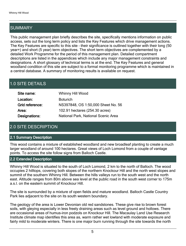## SUMMARY

This public management plan briefly describes the site, specifically mentions information on public access, sets out the long term policy and lists the Key Features which drive management actions. The Key Features are specific to this site - their significance is outlined together with their long (50 year+) and short (5 year) term objectives. The short term objectives are complemented by a detailed Work Programme for the period of this management plan. Detailed compartment descriptions are listed in the appendices which include any major management constraints and designations. A short glossary of technical terms is at the end. The Key Features and general woodland condition of this site are subject to a formal monitoring programme which is maintained in a central database. A summary of monitoring results is available on request.

## 1.0 SITE DETAILS

| Site name:      | Whinny Hill Wood                    |
|-----------------|-------------------------------------|
| Location:       | <b>Boturich</b>                     |
| Grid reference: | NS397848, OS 1:50,000 Sheet No. 56  |
| Area:           | 102.91 hectares (254.30 acres)      |
| Designations:   | National Park, National Scenic Area |

## 2.0 SITE DESCRIPTION

#### 2.1 Summary Description

This wood contains a mixture of established woodland and new broadleaf planting to create a much larger woodland of around 100 hectares. Great views of Loch Lomond from a couple of vantage points. To access the site follow signs from Balloch Castle.

#### 2.2 Extended Description

Whinny Hill Wood is situated to the south of Loch Lomond, 2 km to the north of Balloch. The wood occupies 2 hilltops, covering both slopes of the northern Knockour Hill and the north west slopes and summit of the southern Whinny Hill. Between the hills valleys run to the south west and the north east. Altitude ranges from 80m above sea level at the public road in the south west corner to 175m a.s.l. on the eastern summit of Knockour Hill.

The site is surrounded by a mixture of open fields and mature woodland. Balloch Castle Country Park lies adjacent to the site on its south western boundary.

The geology of the area is Lower Devonian old red sandstones. These give rise to brown forest soils, with gleying especially in less freely draining areas such as level ground and hollows. There are occasional areas of humus-iron podzols on Knockour Hill. The Macaulay Land Use Research Institute climate map identifies this area as, warm rather wet lowland with moderate exposure and fairly mild to moderate winters. There is one major burn running through the site towards the north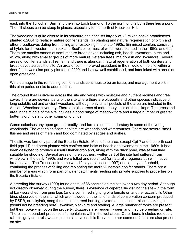east, into the Tullochan Burn and then into Loch Lomond. To the north of this burn there lies a pond. The hill slopes can be steep in places, especially to the north of Knockour Hill.

The woodland is quite diverse in its structure and consists largely of: (i) mixed native broadleaves planted c.2004 to replace mature conifer stands; (ii) planting and natural regeneration of birch and other broadleaves dating from felling and restocking in the late 1990s; (iii) mixed conifers consisting of hybrid larch, western hemlock and Scot's pine, most of which were planted in the 1950s and 60s. There are smaller stands of semi-mature broadleaves including ash, beech, sycamore, birch and willow, along with smaller groups of more mature, veteran trees, mainly ash and sycamore. Several areas of conifer stands still remain and there is abundant natural regeneration of both conifers and broadleaves across the site. An area of semi-improved grassland in the middle of the site within a deer fence was also partly planted in 2000 and is now well established, and interlinked with areas of open grassland.

Wind damage in the remaining conifer stands continues to be an issue, and management work in this plan period seeks to address this.

The ground flora is diverse across the site and varies with moisture and nutrient regimes and tree cover. There are several parts of the site where there are bluebells and other species indicative of long established and ancient woodland, although only small pockets of the area are included in the Ancient Woodland Inventory. There are also areas of more peaty soils on the hilltops. The grassland area in the middle of the site includes a good range of meadow flora and a large number of greater butterfly orchids and other common orchids.

Gorse colonises any open ground readily, and forms a dense understory in some of the young woodlands. The other significant habitats are wetlands and watercourses. There are several small flushes and areas of marsh and bog dominated by sedges and rushes.

The site was formerly part of the Boturich Estate. Most of the area, except Cpt 7 and the north east field (cpt 11) had been planted with conifers and belts of beech and sycamore in the 1960s. It had been designed to produce a useful timber crop and, along with the duck pond, was at that time suitable for shooting. Several areas on the southern, wetter part of the site had suffered from windblow in the early 1990s and were felled and replanted (or naturally regenerated) with native broadleaves. The Trust acquired the wood firstly as a lease (1997) and latterly as freehold, continuing the process of felling and replanting the more vulnerable conifer stands. There are a number of areas which form part of water catchments feeding into private supplies to properties on the Boturich Estate.

A breeding bird survey (1999) found a total of 36 species on the site over a two day period. Although not directly observed during the survey, there is evidence of capercaillie visiting the site - in the form of bark scratched from pine logs (and a confirmed sighting of a female on another occasion). Other birds observed on the site, which are included on the list of birds of conservation concern produced by RSPB, are skylark, song thrush, linnet, reed bunting, oystercatcher, lesser black backed gull (would not be breeding here), swallow, blackbird and starling. A large number of rooks are present but their rookery is not on the property. Buzzards are frequently seen and may be breeding on site. There is an abundant presence of amphibians within the wet areas. Other fauna includes roe deer, rabbits, grey squirrels, weasel, moles and voles. It is likely that other common fauna are also present on site.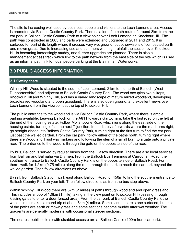The site is increasing well used by both local people and visitors to the Loch Lomond area. Access is promoted via Balloch Castle Country Park. There is a loop footpath route of around 3km from the car park in Balloch Castle Country Park to a view point over Loch Lomond on Knockour Hill. The path was constructed in 2005 and parts were extended and upgraded in 2011 and 2015. It is surfaced for part of its length where it crosses very wet ground, but otherwise is of compacted earth and mown grass. Due to increasing use and summers with high rainfall the section over Knockour Hill is becoming increasingly muddy, and further upgrades are planned. There is also a management access track which link to the path network from the east side of the site which is used as an informal path link for local people parking at the Blairlinnan Waterworks.

## 3.0 PUBLIC ACCESS INFORMATION

#### 3.1 Getting there

Whinny Hill Wood is situated to the south of Loch Lomond, 2 km to the north of Balloch (West Dunbartonshire) and adjacent to Balloch Castle Country Park. The wood occupies two hilltops, Knockour Hill and Whinny Hill, and has a varied landscape of mature mixed woodland, developing broadleaved woodland and open grassland. There is also open ground, and excellent views over Loch Lomond from the viewpoint at the top of Knockour Hill.

The public entrance to the woodland is via Balloch Castle Country Park, where there is ample parking available. Leaving Balloch on the A811 towards Gartocharn, take the last road on the left at the end of the housing estate. Follow Mollanbowie Road which runs along the east side of the housing estate, turning left at the next T-junction. Immediately afterwards where the road turns right, go straight ahead into Balloch Castle Country Park, turning right at the first turn to find the car park just past the walled garden. From the car park, follow either of the paths north, turning right where there are Woodland Trust waymarkers and following the glen of a small burn to a gate onto a private road. The entrance to the wood is through the gate on the opposite side of the road.

By bus, Balloch is served by regular buses from the Glasow direction. There are also local services from Balfron and Balmaha via Drymen. From the Balloch Bus Terminus at Carrochan Road, the southern entrance to Balloch Castle Country Park is on the opposite side of Balloch Road. Form there, walk for 1.2km (0.75 miles) along the road through the park to reach the car park beyond the walled garden. Then follow directions as above.

By rail, from Balloch Station, walk east along Balloch Road for 450m to find the southern entrance to Balloch Country Park on your left. Then follow directions as from the bus stop above.

Within Whinny Hill Wood there are 3km (2 miles) of paths through woodland and open grassland. This includes a loop of 1.6km (1 mile) taking in the view point on Knockour Hill (passing through kissing gates to enter a deer-fenced area). From the car park at Balloch Castle Country Park the whole circuit makes a round trip of about 6km (4 miles). Some sections are stone surfaced, but most of the paths are earth or mown grass and some sections become muddy after wet weather. The gradients are generally moderate with occaisional steeper sections.

The nearest public toilets (with disabled access) are at Balloch Castle (100m from car park).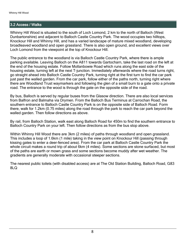### 3.2 Access / Walks

Whinny Hill Wood is situated to the south of Loch Lomond, 2 km to the north of Balloch (West Dunbartonshire) and adjacent to Balloch Castle Country Park. The wood occupies two hilltops, Knockour Hill and Whinny Hill, and has a varied landscape of mature mixed woodland, developing broadleaved woodland and open grassland. There is also open ground, and excellent views over Loch Lomond from the viewpoint at the top of Knockour Hill.

The public entrance to the woodland is via Balloch Castle Country Park, where there is ample parking available. Leaving Balloch on the A811 towards Gartocharn, take the last road on the left at the end of the housing estate. Follow Mollanbowie Road which runs along the east side of the housing estate, turning left at the next T-junction. Immediately afterwards where the road turns right, go straight ahead into Balloch Castle Country Park, turning right at the first turn to find the car park just past the walled garden. From the car park, follow either of the paths north, turning right where there are Woodland Trust waymarkers and following the glen of a small burn to a gate onto a private road. The entrance to the wood is through the gate on the opposite side of the road.

By bus, Balloch is served by regular buses from the Glasow direction. There are also local services from Balfron and Balmaha via Drymen. From the Balloch Bus Terminus at Carrochan Road, the southern entrance to Balloch Castle Country Park is on the opposite side of Balloch Road. Form there, walk for 1.2km (0.75 miles) along the road through the park to reach the car park beyond the walled garden. Then follow directions as above.

By rail, from Balloch Station, walk east along Balloch Road for 450m to find the southern entrance to Balloch Country Park on your left. Then follow directions as from the bus stop above.

Within Whinny Hill Wood there are 3km (2 miles) of paths through woodland and open grassland. This includes a loop of 1.6km (1 mile) taking in the view point on Knockour Hill (passing through kissing gates to enter a deer-fenced area). From the car park at Balloch Castle Country Park the whole circuit makes a round trip of about 6km (4 miles). Some sections are stone surfaced, but most of the paths are earth or mown grass and some sections become muddy after wet weather. The gradients are generally moderate with occasional steeper sections.

The nearest public toilets (with disabled access) are at The Old Station Building, Balloch Road, G83 8LQ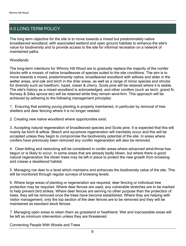## 4.0 LONG TERM POLICY

The long term objective for the site is to move towards a mixed but predominately native broadleaved woodland, with associated wetland and open ground habitats to enhance the site's value for biodiversity and to provide access to the site for informal recreation on a network of maintained paths.

**Woodlands** 

The long-term intentions for Whinny Hill Wood are to gradually replace the majority of the conifer blocks with a mosaic of native broadleaves of species suited to the site conditions. The aim is to move towards a mixed, predominantly native, broadleaved woodland with willows and alder in the wetter areas, and oak and birch in the drier areas, as well as a range of minor species and shrubs for diversity such as hawthorn, hazel, rowan & cherry. Scots pine will be retained where it is stable. The site's history as a mixed woodland is acknowledged, and other conifers (such as larch, grand fir, Norway & Sitka spruce etc) will be retained while they remain wind-firm. This approach will be achieved by adhering to the following management principles:

1. Ensuring that existing young planting is properly maintained, in particular by removal of tree shelters and deer fencing where it is no longer needed.

2. Creating new native woodland where opportunities exist.

3. Accepting natural regeneration of broadleaved species and Scots pine. It is expected that this will mainly be birch & willow. Beech and sycamore regeneration will inevitably occur and this will be accepted unless they begin to compromise the biodiversity potential of the site. In areas where confers have previously been removed any conifer regeneration will also be removed.

4. Clear-felling and restocking will be considered in confer areas where advanced wind-throw has begun or is likely to occur. In some areas that are already badly blown, but where there is good natural regeneration the blown trees may be left in place to protect the new growth from browsing and crease a deadwood habitat.

5. Managing roe deer to a level which maintains and enhances the biodiversity value of the site. This will be monitored through regular surveys of browsing levels.

6. Where large areas of planting or regeneration are required, deer fencing or individual tree protection may be required. Where deer fences are used, any vulnerable stretches are to be marked to help prevent bird strikes. Where deer fences are serving no other purpose than the protection of trees, they will be removed once the trees have become established. Where they are helping with visitor management, only the top section of the deer fences are to be removed and they will be maintained as standard stock fences.

7. Managing open areas to retain them as grassland or heathland. Wet and inaccessible areas will be left as minimum intervention unless they are threatened.

Connecting People With Woods and Trees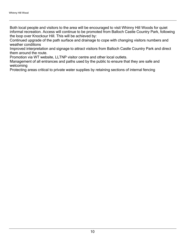Both local people and visitors to the area will be encouraged to visit Whinny Hill Woods for quiet informal recreation. Access will continue to be promoted from Balloch Castle Country Park, following the loop over Knockour Hill. This will be achieved by:

Continued upgrade of the path surface and drainage to cope with changing visitors numbers and weather conditions

Improved interpretation and signage to attract visitors from Balloch Castle Country Park and direct them around the route.

Promotion via WT website, LLTNP visitor centre and other local outlets.

Management of all entrances and paths used by the public to ensure that they are safe and welcoming

Protecting areas critical to private water supplies by retaining sections of internal fencing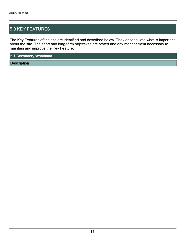## 5.0 KEY FEATURES

The Key Features of the site are identified and described below. They encapsulate what is important about the site. The short and long-term objectives are stated and any management necessary to maintain and improve the Key Feature.

5.1 Secondary Woodland

**Description**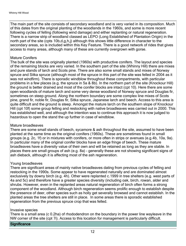The main part of the site consists of secondary woodland and is very varied in its composition. Much of this dates from the original planting of the woodlands in the 1960s, and some is more recent following cycles of felling (following wind damage) and either replanting or natural regeneration. There is a narrow strip of woodland classed as LEPO (Long Established of Plantation Origin) in the north part of the site (cpts 10b,d,g,h,j) although this shows little difference in character to the secondary areas, so is included within this Key Feature. There is a good network of rides that gives access to many areas, although many of these are currently overgrown with gorse.

#### Mature Conifers

The bulk of the site was originally planted (1960s) with productive conifers. The layout and species of the remaining blocks are very varied. In the southern part of the site (Whinny Hill) there are mixes and pure stands of larch and Scots pine. There are also some small stands and mixes of Norway spruce and Sitka spruce (although most of the spruce in this part of the site was felled in 2004 as it was not windfirm). There is sporadic windblow throughout these compartments, with particular problems in a few places (e.g. the spruce in 5a & 8b). In the northern part of the site (Knockour Hill) the ground is better drained and most of the conifer blocks are intact (cpt 10). Here there are some open woodlands of mature larch and some very dense woodland of Norway spruce and Douglas fir, sometimes on steep ground. Along the northern boundary are some complex line mixes of Scots pine, grand fir, noble fir, Douglas fir, Sitka spruce, Japanese larch and beech. Access to this area is quite difficult and the ground is steep. Amongst the mature larch on the southern slope of Knockour Hill (cpt 10f) some group felling and restocking with native broadleaves was carried out in 2000. This has established well, and although the intention was to continue this approach it is now judged to hazardous to open the stand the up further in case of windblow.

#### Mature broadleaves

There are some small stands of beech, sycamore & ash throughout the site, assumed to have been planted at the same time as the original conifers (1960s). These are sometimes found in small groups (e.g. 2c, 1f) or in mixtures with conifers, or more often in strips or avenues (e.g.4b, 10a, 9a). In particular many of the original conifer blocks have an edge fringe of beech. These mature broadleaves have a diversity value of their own and will be retained as long as they are stable. In places there are small groups of ash (e.g. 8a) - generally these are not showing significant signs of ash dieback, although it is affecting most of the ash regeneration.

#### Young broadleaves

There are significant areas of mainly native broadleaves dating from previous cycles of felling and restocking in the 1990s. Some appear to have regenerated naturally and are dominated almost exclusively by downy birch (e.g. 4h). Other were replanted c.1999 in tree shelters (e.g. west parts of 4a and 5c) and therefore have a greater species diversity (including oak, birch, rowan, alder and shrubs. However, even in the replanted areas natural regeneration of birch often forms a strong component of the woodland. Although birch regeneration seems prolific enough to establish despite the presence of deer, other species such as holly get severally browsed and cannot establish. In the planted areas the tree shelters are still in place. In some areas there is sporadic established regeneration from the previous spruce crop that was felled.

#### Invasive species

There is a small area (c 0.2ha) of rhododendron on the boundary in the power line wayleave in the NW corner of the site (cpt 7i). Access to this location for management is particularly difficult.

#### **Significance**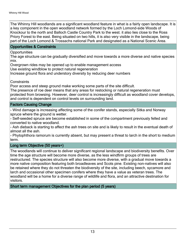The Whinny Hill woodlands are a significant woodland feature in what is a fairly open landscape. It is a key component in the open woodland network formed by the Loch Lomond-side Woods of Knockour to the north and Balloch Castle Country Park to the west. it also lies close to the Ross Priory Forest to the east. Being situated on two hills, it is also very visible in the landscape, being part of the Loch Lomond & Trossachs national Park and designated as a National Scenic Area.

#### Opportunities & Constraints

#### Opportunities

The age structure can be gradually diversified and move towards a more diverse and native species mix.

Overgrown rides may be opened up to enable management access

Use existing windblow to protect natural regeneration

Increase ground flora and understory diversity by reducing deer numbers

**Constraints** 

Poor access and steep ground make working some parts of the site difficult.

The presence of roe deer means that any areas for restocking or natural regeneration must protected from browsing. However, deer control is increasingly difficult as woodland cover develops, and control is dependent on control levels on surrounding land.

#### Factors Causing Change

- Wind damage is increasing affecting some of the conifer stands, especially Sitka and Norway spruce where the ground is wetter.

- Self-seeded spruce are become established in some of the compartment previously felled and converted to native woodland.

- Ash dieback is starting to affect the ash trees on site and is likely to result in the eventual death of almost all the ash.

- Phytophthora ramorum is currently absent, but may present a threat to larch in the short to medium term.

#### Long term Objective (50 years+)

The woodlands will continue to deliver significant regional landscape and biodiversity benefits. Over time the age structure will become more diverse, as the less windfirm groups of trees are restructured. The species structure will also become more diverse, with a gradual move towards a more native composition featuring both broadleaves and Scots pine. Existing non-natives will also be retained where they do not threaten the biodiversity of the site, including beech, sycamore and larch and occasional other specimen conifers where they have a value as veteran trees. The woodland will be a home for a diverse range of wildlife and flora, and an attractive destination for visitors.

Short term management Objectives for the plan period (5 years)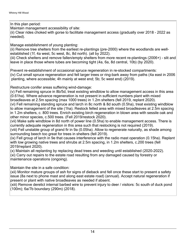In this plan period:

Maintain management accessibility of site:

(ii) Clear rides choked with gorse to facilitate management access (gradually over 2018 - 2022 as needed).

Manage establishment of young planting:

(ii) Remove tree shelters from the earliest re-plantings (pre-2000) where the woodlands are wellestablished (1f, 4a west, 5c west, 8c, 8d north). (all by 2022).

(iii) Check shelters and remove fallen/empty shelters from more recent re-plantings (2006+) - slit and leave in place those where tubes are becoming tight (4a, 6a, 8d central, 10b) (by 2020).

Prevent re-establishment of occasional spruce regeneration in re-stocked compartments: (iv) Cut small spruce regeneration and fell larger trees or ring-bark away from paths (4a east in 2006 planting, where accessible; 4h mainly at west end; 5b; 5c west end) (2019).

Restructure conifer areas suffering wind-damage:

(v) Fell remaining spruce in 8b/5d, treat existing windblow to allow management access in this area (0.61ha). Where advance regeneration is not present in sufficient numbers plant with mixed broadleaves at 2.5m spacing (max 1000 trees) in 1.2m shelters (fell 2019, replant 2020).

(vi) Fell remaining standing spruce and larch in 8c north & 8d south (0.5ha), treat existing windblow to allow management of the site (1ha). Restock felled area with mixed broadleaves at 2.5m spacing in 1.2m shelters, c. 800 trees. Enrich existing birch regeneration in blown area with sessile oak and other minor species, c.500 trees. (Fell 2019/restock 2020).

(vii) Make safe windblow in 8d north of power line (0.5ha) to enable management access. There is currently adequate regeneration in this area such that restocking is not required (2019).

(viii) Fell unstable group of grand fir in 9a (0.05ha). Allow to regenerate naturally, as shade among surrounding beech too great for trees in shelters (fell 2019).

(ix) Fell group of larch in 9e that causes interference with the radio mast operation (0.15ha). Replant with low growing native trees and shrubs at 2.5m spacing, in 1.2m shelters, c.200 trees (fell 2019/replant 2020).

(x) Maintain all replanting by replacing dead trees and weeding until established (2020-2022). (xi) Carry out repairs to the estate road resulting from any damaged caused by forestry or

maintenance operations (ongoing).

Maintain the site in a safe condition:

(xii) Monitor mature groups of ash for signs of dieback and fell once these start to present a safety issue (8a next to phone mast and along east estate road) (annual). Accept natural regeneration if present or plant with native broadleaves as needed if absent.

(xiii) Remove derelict internal barbed wire to prevent injury to deer / visitors: 5c south of duck pond (100m); 6a/7b boundary (290m) (2018).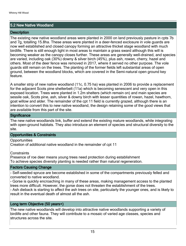#### 5.2 New Native Woodland

#### **Description**

The existing new native woodland areas were planted in 2000 on land previously pasture in cpts 7b and 7g, totalling 15.8ha. These areas were planted in a deer-fenced exclosure in vole guards are now well established and closed canopy forming an attractive thicket stage woodland with much birdlife. There is still enough light in most areas to maintain a grass sward although this will is becoming weaker as the canopy closes further. These areas are generally well-drained, and species are varied, including oak (30%) downy & silver birch (45%), plus ash, rowan, cherry, hazel and others. Most of the deer fence was removed in 2017, where it served no other purpose. The vole guards still remain on the trees. The planting of the former fields left substantial areas of open ground, between the woodland blocks, which are covered in the Semi-natural open ground key feature.

A smaller strip of new native woodland (11c, 0.75 ha) was planted in 2006 to provide a replacement for the adjacent Scots pine shelterbelt (11a) which is becoming senescent and very open in this exposed location. Trees were planted in 1.2m shelters (which remain on) and main species are sessile oak, Scots pine, ash, silver & downy birch with lesser quantities of rowan, hazel, hawthorn, goat willow and alder. The remainder of the cpt 11 field is currently grazed, although there is an intention to convert this to new native woodland, the design retaining some of the good views that are available from this part of the site.

#### **Significance**

The new native woodlands link, buffer and extend the existing mature woodlands, while integrating with open-ground habitats. They also introduce an element of species and structural diversity to the site.

#### Opportunities & Constraints

**Opportunities** 

Creation of additional native woodland in the remainder of cpt 11

**Constraints** 

Presence of roe deer means young trees need protection during establishment To achieve species diversity planting is needed rather than natural regeneration.

#### Factors Causing Change

- Self-seeded spruce are become established in some of the compartments previously felled and converted to native woodland.

- Gorse is quickly encroaching in many of these areas, making management access to the planted trees more difficult. However, the gorse does not threaten the establishment of the trees. - Ash dieback is starting to affect the ash trees on site, particularly the younger ones, and is likely to

result in the eventual death of almost all the ash.

#### Long term Objective (50 years+)

The new native woodlands will develop into attractive native woodlands supporting a variety of birdlife and other fauna. They will contribute to a mosaic of varied age classes, species and structures across the site.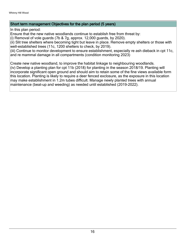#### Short term management Objectives for the plan period (5 years)

In this plan period:

Ensure that the new native woodlands continue to establish free from threat by:

(i) Removal of vole guards (7b & 7g, approx. 12,000 guards, by 2020).

(ii) Slit tree shelters where becoming tight but leave in place. Remove empty shelters or those with well-established trees (11c, 1200 shelters to check, by 2019).

(iii) Continue to monitor development to ensure establishment, especially re ash dieback in cpt 11c, and re mammal damage in all compartments (condition monitoring 2023)

Create new native woodland, to improve the habitat linkage to neighbouring woodlands. (iv) Develop a planting plan for cpt 11b (2018) for planting in the season 2018/19. Planting will incorporate significant open ground and should aim to retain some of the fine views available form this location. Planting is likely to require a deer fenced exclosure, as the exposure in this location may make establishment in 1.2m tubes difficult. Manage newly planted trees with annual

maintenance (beat-up and weeding) as needed until established (2019-2022).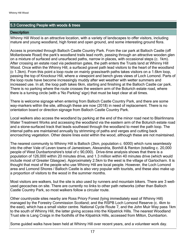#### 5.3 Connecting People with woods & trees

#### **Description**

Whinny Hill Wood is an attractive location, with a variety of landscapes to offer visitors, including mature and young woodland, high forest and open ground, and some interesting ground flora.

Access is promoted through Balloch Castle Country Park. From the car park at Balloch Castle (off Mollanbowie Road) the park's woodland trails lead north, passing through an attractive wooden glen on a mixture of surfaced and unsurfaced paths, narrow in places, with occasional steps (c. 1km). After crossing an estate road via pedestrian gates, the path enters the Trusts land at Whinny Hill Wood. Once within the Whinny Hill, a surfaced gravel path lead visitors to the heart of the woodland (c 1.3km). From this point a loop route on mainly grass/earth paths takes visitors on a 1.6km loop, passing the top of Knockour Hill, where a viewpoint and bench gives views of Loch Lomond. Parts of the loop route have become increasingly muddy after wet weather with wetter summers and increased use. In all, the loop path takes 6km, starting and finishing at the Balloch Castle car park. There is no parking where the route crosses the western arm of the Boturich estate road, where there is a turning circle (with a 'No Parking' sign) that must be kept clear at all times.

There is welcome signage when entering from Balloch Castle Country Park, and there are some way-markers within the site, although these are now (2018) in need of replacement. There is no orientation board or direction signage from Balloch Castle Country Park.

Local walkers also access the woodland by parking at the end of the minor road next to Blairlinnans Water Treatment Works and accessing the woodland via the eastern arm of the Boturich estate road and a stone-surfaced track that leads southeast through the woodland to meet the path loop. The internal paths are maintained annually by strimming of paths and verges and cutting back encroaching vegetation. Other desire lines exist within the wood, although these are not maintained.

The nearest community to Whinny Hill is Balloch (2km, population c. 6000) which runs seamlessly into the other Vale of Leven towns of Jamestown, Alexandria, Bonhill & Renton (totalling c. 20,000 people of West Dunbartonshire's total of c 90,000). Drive-time analysis shows that there is a population of 126,000 within 20 minutes drive, and 1.3 million within 40 minutes drive (which would include most of Greater Glasgow). Approximately 2.5km to the west is the village of Gartocharn. It is thought that most of the people who use Whinny Hill are local people. However, the Loch Lomond area and Lomond Shores / Balloch Castle is also very popular with tourists, and these also make up a proportion of visitors to the wood in the summer months.

Most visitors are walkers, but the site is also used by runners and mountain bikers. There are 3 wellused geocaches on site. There are currently no links to other path networks (other than Balloch Castle Country Park, so most walkers follow a circular route.

Other countryside sites nearby are Ross Priory Forest (lying immediately east of Whinny Hill) managed by the Forestry Commission Scotland; and the RSPB Loch Lomond Reserve (c. 4km to the east), which has a small visitor centre. National Cycle Route 7, and the John Muir Way pass 1km to the south of Whinny Hill, the latter giving access into the Kilpatrick Hills. The nearest Woodland Trust site is Lang Craigs in the foothills of the Kilpatrick Hills, accessed from Milton, Dumbarton.

Some guided walks have been held at Whinny Hill over recent years, and a volunteer work day.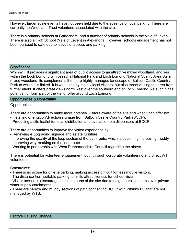However, larger scale events have not been held due to the absence of local parking. There are currently no Woodland Trust volunteers associated with the site.

There is a primary schools at Gartocharn, and a number of primary schools in the Vale of Leven. There is also a High School (Vale of Leven) in Alexandria. However, schools engagement has not been pursued to date due to issues of access and parking.

#### **Significance**

Whinny Hill provides a significant area of public access to an attractive mixed woodland, and lies within the Loch Lomond & Trossachs National Park and Loch Lomond National Scenic Area. As a mixed woodland, its complements the more highly managed landscape of Balloch Castle Country Park to which it is linked. It is well-used by mainly local visitors, but also those visiting the area from further afield. It offers great views north west over the southern end of Loch Lomond. As such it has potential for form part of the visitor offer around Loch Lomond.

#### Opportunities & Constraints

Opportunities:

There are opportunities to make more potential visitors aware of the site and what it can offer by: - Installing orientation/direction signage from Balloch Castle Country Park (BCCP).

- Producing a site leaflet for local distribution and available from dispensers at BCCP.

There are opportunities to improve the visitor experience by:

- Renewing & upgrading signage and estate furniture.

- Improving the quality of the loop section of the path route, which is becoming increasing muddy

- Improving way-marking on the loop route

- Working in partnership with West Dunbartonshire Council regarding the above.

There is potential for volunteer engagement, both through corporate volunteering and direct WT volunteers.

Constraints:

- There is no scope for on-site parking, making access difficult for less mobile visitors.

- The distance from suitable parking to limits attractiveness for school visits.

- Visitor access is discouraged in some parts of the site due to neighbours' concerns over private water supply catchments.

- There are narrow and muddy sections of path connecting BCCP with Whinny Hill that are not managed by WTS.

#### Factors Causing Change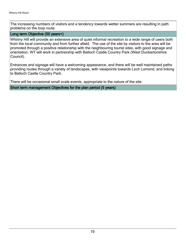The increasing numbers of visitors and a tendency towards wetter summers are resulting in path problems on the loop route.

#### Long term Objective (50 years+)

Whinny Hill will provide an extensive area of quiet informal recreation to a wide range of users both from the local community and from further afield. The use of the site by visitors to the area will be promoted through a positive relationship with the neighbouring tourist sites, with good signage and orientation. WT will work in partnership with Balloch Castle Country Park (West Dunbartonshire Council).

Entrances and signage will have a welcoming appearance, and there will be well maintained paths providing routes through a variety of landscapes, with viewpoints towards Loch Lomond, and linking to Balloch Castle Country Park.

There will be occasional small scale events, appropriate to the nature of the site.

Short term management Objectives for the plan period (5 years)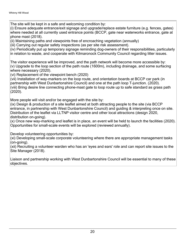The site will be kept in a safe and welcoming condition by:

(i) Ensure adequate entrance/exit signage and upgrade/replace estate furniture (e.g. fences, gates) where needed at all currently used entrance points (BCCP, gate near waterworks entrance, gate at phone mast (2018).

(ii) Maintaining paths and viewpoints free of encroaching vegetation (annually)

(iii) Carrying out regular safety inspections (as per site risk assessment).

(iv) Periodically put up temporary signage reminding dog-owners of their responsibilities, particularly in relation to waste, and cooperate with Kilmaronock Community Council regarding litter issues.

The visitor experience will be improved, and the path network will become more accessible by: (v) Upgrade to the loop section of the path route (1600m), including drainage, and some surfacing where necessary (2020).

(vi) Replacement of the viewpoint bench (2020)

(vii) Installation of way-markers on the loop route, and orientation boards at BCCP car park (in partnership with West Dunbartonshire Council) and one at the path loop T-junction. (2020). (viii) Bring desire line connecting phone-mast gate to loop route up to safe standard as grass path (2020).

More people will visit and/or be engaged with the site by:

(ix) Design & production of a site leaflet aimed at both attracting people to the site (via BCCP entrance, in partnership with West Dunbartonshire Council) and guiding & interpreting once on site. Distribution of the leaflet via LLTNP visitor centre and other local attractions (design 2020, distribution on-going).

(x) Once new way-marking and leaflet is in place, an event will be held to launch the facilities (2020). Opportunities for small-scale events will be explored (reviewed annually).

Develop volunteering opportunities by:

(xi) Developing small-scale corporate volunteering where there are appropriate management tasks (on-going).

(xii) Recruiting a volunteer warden who has an 'eyes and ears' role and can report site issues to the Site Manager (2018).

Liaison and partnership working with West Dunbartonshire Council will be essential to many of these objectives.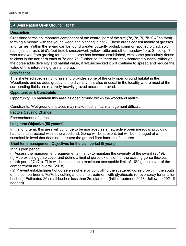#### 5.4 Semi Natural Open Ground Habitat

#### **Description**

Grassland forms an important component of the central part of the site (7c, 7e, 7i, 7h, 9.40ha total) forming a mosaic with the young woodland planting in cpt 7. These areas consist mainly of grasses and rushes. Within the sward can be found greater butterfly orchid, common spotted orchid, soft rush, jointed rush, bird's foot trefoil, sneezewort, yellow rattle and other meadow flora. Since cpt 7 was removed from grazing for planting gorse has become established, with some particularly dense thickets in the northern ends of 7e and 7c. Further south there are only scattered bushes. Although the gorse adds diversity and habitat value, if left unchecked it will continue to spread and reduce the value of this interesting grassland area.

#### **Significance**

This sheltered species rich grassland provides some of the only open ground habitat in the Woodlands and so adds greatly to the diversity. It is also unusual in the locality where most of the surrounding fields are relatively heavily grazed and/or improved.

#### Opportunities & Constraints

Opportunity: To maintain this area as open ground within the woodland matrix.

Constraints: Wet ground in places may make mechanical management difficult.

#### Factors Causing Change

Encroachment of gorse.

#### Long term Objective (50 years+)

In the long term, this area will continue to be managed as an attractive open meadow, providing habitat and structural within the woodland. Gorse will be present, but will be managed at a sustainable level that does not threaten the ground flora interest of the area.

#### Short term management Objectives for the plan period (5 years)

In this plan period:

(i) Assess the management requirements (if any) to maintain the diversity of the sward (2019). (ii) Map existing gorse cover and define a limit of gorse extension for the existing gorse thickets (north part of 7c/7e). This will be based on a maximum acceptable limit of 10% gorse cover of the compartment area overall (2018).

(iii) Prevent establishment of gorse elsewhere by controlling the scattered gorse growth in the south of the compartments 7c/7e by cutting and stump treatment with glyphosate (or overspray for smaller bushes). Estimated 20 small bushes less than 2m diameter (initial treatment 2018 - follow up 2021 if needed).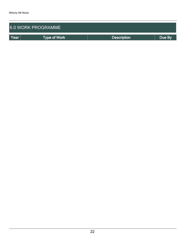| <b>6.0 WORK PROGRAMME</b> |              |                    |        |  |  |  |  |  |
|---------------------------|--------------|--------------------|--------|--|--|--|--|--|
| Year                      | Type of Work | <b>Description</b> | Due By |  |  |  |  |  |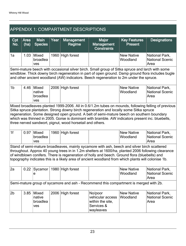## APPENDIX 1: COMPARTMENT DESCRIPTIONS

| Cpt<br>No.                                                                                                                                                                                                                                                                                     | Area<br>(ha)                                                                                                                                                                                                                                                                                                                                                                                                                                                | <b>Main</b><br><b>Species</b>             | Year | <b>Management</b><br>Regime | <b>Major</b><br><b>Management</b><br><b>Constraints</b>                               | <b>Key Features</b><br><b>Present</b> | <b>Designations</b>                              |  |  |  |
|------------------------------------------------------------------------------------------------------------------------------------------------------------------------------------------------------------------------------------------------------------------------------------------------|-------------------------------------------------------------------------------------------------------------------------------------------------------------------------------------------------------------------------------------------------------------------------------------------------------------------------------------------------------------------------------------------------------------------------------------------------------------|-------------------------------------------|------|-----------------------------|---------------------------------------------------------------------------------------|---------------------------------------|--------------------------------------------------|--|--|--|
| 1a                                                                                                                                                                                                                                                                                             | 1.03                                                                                                                                                                                                                                                                                                                                                                                                                                                        | Mixed<br>broadlea<br>ves                  |      | 1960 High forest            |                                                                                       | <b>New Native</b><br>Woodland         | National Park,<br><b>National Scenic</b><br>Area |  |  |  |
| Semi-mature beech with occasional silver birch. Small group of Sitka spruce and larch with some<br>windblow. Thick downy birch regeneration in part of open ground. Damp ground flora includes bugle<br>and other ancient woodland (AW) indicators. Beech regeneration to 2m under the spruce. |                                                                                                                                                                                                                                                                                                                                                                                                                                                             |                                           |      |                             |                                                                                       |                                       |                                                  |  |  |  |
| 1 <sub>b</sub>                                                                                                                                                                                                                                                                                 | 4.46                                                                                                                                                                                                                                                                                                                                                                                                                                                        | <b>Mixed</b><br>native<br>broadlea<br>ves | 2006 | High forest                 |                                                                                       | <b>New Native</b><br>Woodland         | National Park,<br><b>National Scenic</b><br>Area |  |  |  |
|                                                                                                                                                                                                                                                                                                | Mixed broadleaves planted 1999-2006. All in 0.6/1.2m tubes on mounds, following felling of previous<br>Sitka spruce plantation. Strong downy birch regeneration and locally some Sitka spruce<br>regeneration. Some designed open ground. A belt of semi-mature beech on southern boundary<br>which was thinned in 2005. Gorse is dominant with bramble. AW indicators present inc. bluebells,<br>three nerved sandwort, pignut, wood horsetail and others. |                                           |      |                             |                                                                                       |                                       |                                                  |  |  |  |
| 1 <sub>f</sub>                                                                                                                                                                                                                                                                                 | 0.97                                                                                                                                                                                                                                                                                                                                                                                                                                                        | <b>Mixed</b><br>broadlea<br>ves           |      | 1960 High forest            |                                                                                       | <b>New Native</b><br>Woodland         | National Park,<br><b>National Scenic</b><br>Area |  |  |  |
|                                                                                                                                                                                                                                                                                                | Stand of semi-mature broadleaves, mainly sycamore with ash, beech and silver birch scattered<br>throughout. Approx 40 young trees in in 1.2m shelters at 1600/ha, planted 2006 following clearance<br>of windblown conifers. There is regeneration of holly and beech. Ground flora (bluebells) and<br>topography indicates this is a likely area of ancient woodland from which plants will colonise 1b.                                                   |                                           |      |                             |                                                                                       |                                       |                                                  |  |  |  |
| 2a                                                                                                                                                                                                                                                                                             | 0.22                                                                                                                                                                                                                                                                                                                                                                                                                                                        | Sycamor<br>е                              |      | 1980 High forest            |                                                                                       | <b>New Native</b><br>Woodland         | National Park,<br><b>National Scenic</b><br>Area |  |  |  |
|                                                                                                                                                                                                                                                                                                |                                                                                                                                                                                                                                                                                                                                                                                                                                                             |                                           |      |                             | Semi-mature group of sycamore and ash - Recommend this compartment is merged with 2b. |                                       |                                                  |  |  |  |
| 2 <sub>b</sub>                                                                                                                                                                                                                                                                                 | 3.85                                                                                                                                                                                                                                                                                                                                                                                                                                                        | <b>Mixed</b><br>native<br>broadlea<br>ves |      | 2006 High forest            | No/poor<br>vehicular access<br>within the site,<br>Services &<br>wayleaves            | <b>New Native</b><br>Woodland         | National Park,<br><b>National Scenic</b><br>Area |  |  |  |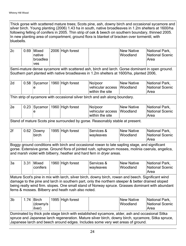Thick gorse with scattered mature trees; Scots pine, ash, downy birch and occasional sycamore and silver birch. Young planting (2006) 1.43 ha in south, native broadleaves in 1.2m shelters at 1600/ha following felling of conifers in 2005. Thin strip of oak & beech on southern boundary, thinned 2005. In new planting area of compartment, ground flora is blanket of bracken over tormentil, with bluebells.

| 2c                                                                                                                                                                                                                                                                                                                                                                | 0.69                                                                          | Mixed<br>native<br>broadlea<br>ves |  | 2006 High forest |                                                                                                                                                                                                                                                                                       | <b>New Native</b><br>Woodland | National Park,<br><b>National Scenic</b><br>Area |  |  |  |
|-------------------------------------------------------------------------------------------------------------------------------------------------------------------------------------------------------------------------------------------------------------------------------------------------------------------------------------------------------------------|-------------------------------------------------------------------------------|------------------------------------|--|------------------|---------------------------------------------------------------------------------------------------------------------------------------------------------------------------------------------------------------------------------------------------------------------------------------|-------------------------------|--------------------------------------------------|--|--|--|
|                                                                                                                                                                                                                                                                                                                                                                   |                                                                               |                                    |  |                  | Semi-mature dense sycamore with scattered ash, birch and larch. Gorse dominant in open ground.<br>Southern part planted with native broadleaves in 1.2m shelters at 1600/ha, planted 2006,                                                                                            |                               |                                                  |  |  |  |
| 2d                                                                                                                                                                                                                                                                                                                                                                | 0.58                                                                          | Sycamor<br>е                       |  | 1960 High forest | No/poor<br>vehicular access<br>within the site                                                                                                                                                                                                                                        | <b>New Native</b><br>Woodland | National Park,<br><b>National Scenic</b><br>Area |  |  |  |
|                                                                                                                                                                                                                                                                                                                                                                   |                                                                               |                                    |  |                  | Thin strip of sycamore with occasional silver birch and ash along boundary.                                                                                                                                                                                                           |                               |                                                  |  |  |  |
| 2e                                                                                                                                                                                                                                                                                                                                                                | 0.23                                                                          | Sycamor<br>е                       |  | 1960 High forest | No/poor<br>vehicular access<br>within the site                                                                                                                                                                                                                                        | <b>New Native</b><br>Woodland | National Park,<br><b>National Scenic</b><br>Area |  |  |  |
|                                                                                                                                                                                                                                                                                                                                                                   | Stand of mature Scots pine surrounded by gorse. Reasonably stable at present. |                                    |  |                  |                                                                                                                                                                                                                                                                                       |                               |                                                  |  |  |  |
| 2f                                                                                                                                                                                                                                                                                                                                                                | 0.62                                                                          | Downy<br>birch                     |  | 1995 High forest | Services &<br>wayleaves                                                                                                                                                                                                                                                               | <b>New Native</b><br>Woodland | National Park,<br><b>National Scenic</b><br>Area |  |  |  |
|                                                                                                                                                                                                                                                                                                                                                                   |                                                                               |                                    |  |                  | Boggy ground conditions with birch and occasional rowan to late sapling stage, and significant<br>gorse. Extensive gorse. Ground flora of jointed rush, sphagnum mosses, molinia caerula, angelica,<br>and marsh violet with bilberry, heather and hard fern in dryer areas.          |                               |                                                  |  |  |  |
| 3a                                                                                                                                                                                                                                                                                                                                                                | 3.31                                                                          | <b>Mixed</b><br>conifers           |  | 1960 High forest | Services &<br>wayleaves                                                                                                                                                                                                                                                               | <b>New Native</b><br>Woodland | National Park,<br><b>National Scenic</b><br>Area |  |  |  |
| Mature Scot's pine in mix with larch, silver birch, downy birch, rowan and beech. Significant wind<br>damage to the pine and larch in southern part, only the northern steeper & better drained sloped<br>being really wind firm. slopes. One small stand of Norway spruce. Grasses dominant with abundant<br>ferns & mosses. Bilberry and heath rush also noted. |                                                                               |                                    |  |                  |                                                                                                                                                                                                                                                                                       |                               |                                                  |  |  |  |
| 3b                                                                                                                                                                                                                                                                                                                                                                | 1.74                                                                          | <b>Birch</b><br>(downy/s<br>ilver) |  | 1995 High forest |                                                                                                                                                                                                                                                                                       | <b>New Native</b><br>Woodland | National Park,<br><b>National Scenic</b><br>Area |  |  |  |
|                                                                                                                                                                                                                                                                                                                                                                   |                                                                               |                                    |  |                  | Dominated by thick pole stage birch with established sycamore, alder, ash and occasional Sitka<br>spruce and Japanese larch regeneration. Mature silver birch, downy birch, sycamore, Sitka spruce,<br>Japanese larch and beech around edges. Includes some very wet areas of ground. |                               |                                                  |  |  |  |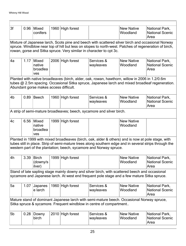-

| 3f                                                                    | 0.96                                                                                                                                                                                                                                                                              | Mixed<br>conifers                  |  | 1960 High forest |                                                                                                                                                                                                                                                                                    | <b>New Native</b><br>Woodland | National Park,<br><b>National Scenic</b><br>Area |  |  |  |  |  |
|-----------------------------------------------------------------------|-----------------------------------------------------------------------------------------------------------------------------------------------------------------------------------------------------------------------------------------------------------------------------------|------------------------------------|--|------------------|------------------------------------------------------------------------------------------------------------------------------------------------------------------------------------------------------------------------------------------------------------------------------------|-------------------------------|--------------------------------------------------|--|--|--|--|--|
|                                                                       | Mixture of Japanese larch, Scots pine and beech with scattered silver birch and occasional Norway<br>spruce. Windblow near top of hill but less on slopes to north-west. Patches of regeneration of birch,<br>rowan, gorse and Sitka spruce. Very similar in character to cpt 3c. |                                    |  |                  |                                                                                                                                                                                                                                                                                    |                               |                                                  |  |  |  |  |  |
| 4a                                                                    | 1.17                                                                                                                                                                                                                                                                              | Mixed<br>native<br>broadlea<br>ves |  | 2006 High forest | Services &<br>wayleaves                                                                                                                                                                                                                                                            | <b>New Native</b><br>Woodland | National Park,<br><b>National Scenic</b><br>Area |  |  |  |  |  |
|                                                                       | Planted with native broadleaves (birch, alder, oak, rowan, hawthorn, willow in 2006 in 1.2/0.6m<br>tubes @ 2.5m spacing. Occasional Sitka spruce, Japanese larch and mixed broadleaf regeneration.<br>Abundant gorse makes access difficult.                                      |                                    |  |                  |                                                                                                                                                                                                                                                                                    |                               |                                                  |  |  |  |  |  |
| 4b                                                                    | 0.89                                                                                                                                                                                                                                                                              | Beech                              |  | 1960 High forest | Services &<br>wayleaves                                                                                                                                                                                                                                                            | <b>New Native</b><br>Woodland | National Park,<br><b>National Scenic</b><br>Area |  |  |  |  |  |
| A strip of semi-mature broadleaves; beech, sycamore and silver birch. |                                                                                                                                                                                                                                                                                   |                                    |  |                  |                                                                                                                                                                                                                                                                                    |                               |                                                  |  |  |  |  |  |
| 4c                                                                    | 6.56                                                                                                                                                                                                                                                                              | Mixed<br>native<br>broadlea<br>ves |  | 1999 High forest |                                                                                                                                                                                                                                                                                    | <b>New Native</b><br>Woodland |                                                  |  |  |  |  |  |
|                                                                       |                                                                                                                                                                                                                                                                                   |                                    |  |                  | Planted in 1999 with mixed broadleaves (birch, oak, alder & others) and is now at pole stage, with<br>tubes still in place. Strip of semi-mature trees along southern edge and in several strips through the<br>western part of the plantation; beech, sycamore and Norway spruce. |                               |                                                  |  |  |  |  |  |
| 4h                                                                    | 3.39                                                                                                                                                                                                                                                                              | Birch<br>(downy/s<br>ilver)        |  | 1999 High forest |                                                                                                                                                                                                                                                                                    | <b>New Native</b><br>Woodland | National Park,<br><b>National Scenic</b><br>Area |  |  |  |  |  |
|                                                                       |                                                                                                                                                                                                                                                                                   |                                    |  |                  | Stand of late sapling stage mainly downy and silver birch, with scattered beech and occasional<br>sycamore and Japanese larch. At west end frequent pole stage and a few mature Sitka spruce.                                                                                      |                               |                                                  |  |  |  |  |  |
| 5a                                                                    | 1.07                                                                                                                                                                                                                                                                              | Japanes<br>e larch                 |  | 1960 High forest | Services &<br>wayleaves                                                                                                                                                                                                                                                            | <b>New Native</b><br>Woodland | National Park,<br><b>National Scenic</b><br>Area |  |  |  |  |  |
|                                                                       |                                                                                                                                                                                                                                                                                   |                                    |  |                  | Mature stand of dominant Japanese larch with semi-mature beech. Occasional Norway spruce,<br>Sitka spruce & sycamore. Frequent windblow in centre of compartment                                                                                                                   |                               |                                                  |  |  |  |  |  |
| 5b                                                                    | 0.28                                                                                                                                                                                                                                                                              | Downy<br>birch                     |  | 2010 High forest | Services &<br>wayleaves                                                                                                                                                                                                                                                            | <b>New Native</b><br>Woodland | National Park,<br><b>National Scenic</b><br>Area |  |  |  |  |  |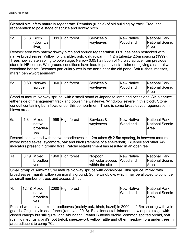Clearfell site left to naturally regenerate. Remains (rubble) of old building by track. Frequent regeneration to pole stage of spruce and downy birch.

| 5c | 6.18 | <b>Birch</b> | 1999 High forest | ∣Services &              | New Native | National Park,  |
|----|------|--------------|------------------|--------------------------|------------|-----------------|
|    |      | (downy/s     |                  | <i><b>Iwavleaves</b></i> | Woodland   | National Scenic |
|    |      | ilver)       |                  |                          |            | Area            |

Restock area with patchy downy birch and spruce regeneration. 60% has been restocked with native broadleaves (Willow, birch, alder, ash, oak, rowan) in 1.2m tubes@ 2.5m spacing (1999). Trees now at late sapling to pole stage. Narrow 0.05 ha ribbon of Norway spruce from previous stand in NE corner. Wet ground conditions have lead to patchy establishment, giving a natural wetwoodland habitat. Becomes particularly wet in the north near the old pond. Soft rushes, mosses, marsh pennywort abundant.

| <b>5d</b> | 0.60 Norway<br>spruce | 1960 High forest | ∣Services &<br><i><b>Iwavleaves</b></i> | New Native<br>Woodland | <b>National Park,</b><br>National Scenic<br>Area |
|-----------|-----------------------|------------------|-----------------------------------------|------------------------|--------------------------------------------------|
|           |                       |                  |                                         |                        |                                                  |

Stand of mature Norway spruce, with a small stand of Japanese larch and occasional Sitka spruce either side of management track and powerline wayleave. Windblow severe in this block. Stone conduit containing burn flows under this compartment. There is some broadleaved regeneration in blown areas.

| ∣6a | .34 | <b>Mixed</b>                | 1999 High forest | Services & | New Native | National Park,          |
|-----|-----|-----------------------------|------------------|------------|------------|-------------------------|
|     |     | <b>Inative</b><br> broadlea |                  | wayleaves  | Woodland   | National Scenic<br>Area |
|     |     | <b>ves</b>                  |                  |            |            |                         |

Restock site planted with native broadleaves in 1.2m tubes  $@$  2.5m spacing, in between mature mixed broadleaves, sycamore, oak and birch (remains of a shelterbelt). Bluebell and other AW indicators present in ground flora. Patchy establishment has resulted in an open feel.

| <sup>≀</sup> 7a | $0.19$ Mixed | 1960 High forest | No/poor                    | New Native | National Park,  |
|-----------------|--------------|------------------|----------------------------|------------|-----------------|
|                 | broadlea     |                  | vehicular access  Woodland |            | National Scenic |
|                 | <b>ves</b>   |                  | within the site            |            | Area            |

Small group of semi-mature/ mature Norway spruce with occasional Sitka spruce, mixed with broadleaves (mainly willow) on marshy ground. Some windblow, which may be allowed to continue as small number of trees and access difficult.

| 7b | 12.48 Mixed | 2000 High forest | New Native | National Park,  |
|----|-------------|------------------|------------|-----------------|
|    | ∣native     |                  | Woodland   | National Scenic |
|    | broadlea    |                  |            | <b>Area</b>     |
|    | <b>ves</b>  |                  |            |                 |

Planted with native mixed broadleaves (mainly oak, birch, hazel) in 2000, at 2.5m spacing with vole guards. Originally in deer fence (removed 2016). Excellent establishment, now at pole stage with closed canopy but still quite light. Abundant Greater Butterfly orchid, common spotted orchid, soft rush, jointed rush, bird's foot trefoil, sneezewort, yellow rattle and other meadow flora under trees in area adjacent to comp 7C.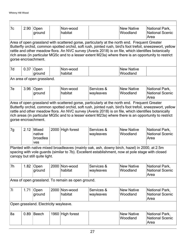-

| 7c | 2.90                                                                                                                                                                                                                                                                                                                                                                                                                                             | Open<br>ground                        |      | Non-wood<br>habitat                               |                         | <b>New Native</b><br>Woodland                                                                                                                                                                    | National Park,<br><b>National Scenic</b><br>Area |  |  |  |  |  |
|----|--------------------------------------------------------------------------------------------------------------------------------------------------------------------------------------------------------------------------------------------------------------------------------------------------------------------------------------------------------------------------------------------------------------------------------------------------|---------------------------------------|------|---------------------------------------------------|-------------------------|--------------------------------------------------------------------------------------------------------------------------------------------------------------------------------------------------|--------------------------------------------------|--|--|--|--|--|
|    | Area of open grassland with scattered gorse, particularly at the north end. Frequent Greater<br>Butterfly orchid, common spotted orchid, soft rush, jointed rush, bird's foot trefoil, sneezewort, yellow<br>rattle and other meadow flora. An NVC survey (Averis 2018) is on file, which identifies botanically<br>rich areas (in particular MG5c and to a lesser extent M23a) where there is an opportunity to restrict<br>gorse encroachment. |                                       |      |                                                   |                         |                                                                                                                                                                                                  |                                                  |  |  |  |  |  |
| 7d | 0.37                                                                                                                                                                                                                                                                                                                                                                                                                                             | Open<br>ground                        |      | Non-wood<br>habitat                               |                         | <b>New Native</b><br>Woodland                                                                                                                                                                    |                                                  |  |  |  |  |  |
|    |                                                                                                                                                                                                                                                                                                                                                                                                                                                  | An area of open grassland.            |      |                                                   |                         |                                                                                                                                                                                                  |                                                  |  |  |  |  |  |
| 7e | 3.96                                                                                                                                                                                                                                                                                                                                                                                                                                             | Open<br>ground                        |      | Non-wood<br>habitat                               | Services &<br>wayleaves | <b>New Native</b><br>Woodland                                                                                                                                                                    | National Park,<br><b>National Scenic</b><br>Area |  |  |  |  |  |
|    | Area of open grassland with scattered gorse, particularly at the north end. Frequent Greater<br>Butterfly orchid, common spotted orchid, soft rush, jointed rush, bird's foot trefoil, sneezewort, yellow<br>rattle and other meadow flora. An NVC survey (Averis 2018) is on file, which identifies botanically<br>rich areas (in particular MG5c and to a lesser extent M23a) where there is an opportunity to restrict<br>gorse encroachment. |                                       |      |                                                   |                         |                                                                                                                                                                                                  |                                                  |  |  |  |  |  |
| 7g | 2.12                                                                                                                                                                                                                                                                                                                                                                                                                                             | Mixed<br>native<br>broadlea<br>ves    | 2000 | High forest                                       | Services &<br>wayleaves | <b>New Native</b><br>Woodland                                                                                                                                                                    | National Park,<br><b>National Scenic</b><br>Area |  |  |  |  |  |
|    |                                                                                                                                                                                                                                                                                                                                                                                                                                                  | canopy but still quite light.         |      |                                                   |                         | Planted with native mixed broadleaves (mainly oak, ash, downy birch, hazel) in 2000, at 2.5m<br>spacing with vole guards (similar to 7b). Excellent establishment, now at pole stage with closed |                                                  |  |  |  |  |  |
| 7h | 1.82                                                                                                                                                                                                                                                                                                                                                                                                                                             | Open<br>ground                        |      | 2000 Non-wood<br>habitat                          | Services &<br>wayleaves | <b>New Native</b><br>Woodland                                                                                                                                                                    | National Park,<br><b>National Scenic</b><br>Area |  |  |  |  |  |
|    |                                                                                                                                                                                                                                                                                                                                                                                                                                                  |                                       |      | Area of open grassland. To remain as open ground. |                         |                                                                                                                                                                                                  |                                                  |  |  |  |  |  |
| 7i | 1.71                                                                                                                                                                                                                                                                                                                                                                                                                                             | Open<br>ground                        |      | 2000 Non-wood<br>habitat                          | Services &<br>wayleaves | <b>New Native</b><br>Woodland                                                                                                                                                                    | National Park,<br><b>National Scenic</b><br>Area |  |  |  |  |  |
|    |                                                                                                                                                                                                                                                                                                                                                                                                                                                  | Open grassland. Electricity wayleave. |      |                                                   |                         |                                                                                                                                                                                                  |                                                  |  |  |  |  |  |
| 8a | 0.89                                                                                                                                                                                                                                                                                                                                                                                                                                             | <b>Beech</b>                          |      | 1960 High forest                                  |                         | <b>New Native</b><br>Woodland                                                                                                                                                                    | National Park,<br><b>National Scenic</b><br>Area |  |  |  |  |  |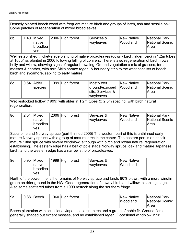Densely planted beech wood with frequent mature birch and groups of larch, ash and sessile oak. Some patches of regeneration of mixed broadleaves.

| 8b | .40 | <b>Mixed</b><br>native<br> broadlea | 2006 High forest | Services &<br><i><b>Iwavleaves</b></i> | <b>New Native</b><br>Woodland | National Park,<br>National Scenic<br>Area |
|----|-----|-------------------------------------|------------------|----------------------------------------|-------------------------------|-------------------------------------------|
|    |     | ves                                 |                  |                                        |                               |                                           |
|    |     |                                     |                  |                                        |                               |                                           |

Well established thicket-stage planting of native broadleaves (downy birch, alder, oak) in 1.2m tubes at 1600/ha, planted in 2006 following felling of conifers. There is also regeneration of birch, rowan, holly and willow, showing signs of regular browsing. Ground vegetation a mix of grasses, ferns, mosses & heather, with rare Sitka spruce regen. A boundary strip to the west consists of beech, birch and sycamore, sapling to early mature.

| ∣8c | $0.54$  Alder<br><b>Species</b> | 1999 High forest | Mostly wet<br>ground/exposed<br>site, Services & | <b>New Native</b><br>Woodland | National Park,<br>National Scenic<br>Area |
|-----|---------------------------------|------------------|--------------------------------------------------|-------------------------------|-------------------------------------------|
|     |                                 |                  | wayleaves                                        |                               |                                           |

Wet restocked hollow (1999) with alder in 1.2m tubes  $@$  2.5m spacing, with birch natural regeneration.

| 8d | 2.54 | <b>Mixed</b> | 2006 High forest | Services & | New Native | National Park,  |
|----|------|--------------|------------------|------------|------------|-----------------|
|    |      | ∣native      |                  | wayleaves  | Woodland   | National Scenic |
|    |      | broadlea     |                  |            |            | Area            |
|    |      | ves          |                  |            |            |                 |

Scots pine and Norway spruce (part thinned 2005) The western part of this is unthinned early mature Norway spruce with a group of mature larch in the centre. The eastern part is (thinned) mature Sitka spruce with severe windblow, although with birch and rowan natural regeneration establishing. The eastern edge has a belt of pole stage Norway spruce, oak and mature Japanese larch, and the western edge has a narrow strip of broadleaves.

| 8e | 0.95 | Mixed<br><b>Inative</b> | 1999 High forest | Services &<br>wayleaves | New Native<br>Woodland |
|----|------|-------------------------|------------------|-------------------------|------------------------|
|    |      | broadlea                |                  |                         |                        |
|    |      | ves                     |                  |                         |                        |

North of the power line is the remains of Norway spruce and larch, 90% blown, with a more windfirm group on drier ground in the NW. Good regeneration of downy birch and willow to sapling stage. Also some scattered tubes from a 1999 restock along the southern fringe.

| 9a                                                                                                                                                                                         |  |  | $0.88$ Beech |  | 1960 High forest |  | New Native<br><b>Woodland</b> | National Park,<br>National Scenic<br> Area |
|--------------------------------------------------------------------------------------------------------------------------------------------------------------------------------------------|--|--|--------------|--|------------------|--|-------------------------------|--------------------------------------------|
| Beech plantation with occasional Japanese larch, birch and a group of noble fir. Ground flora<br>generally shaded out except mosses, and no established regen. Occasional windblow in fir. |  |  |              |  |                  |  |                               |                                            |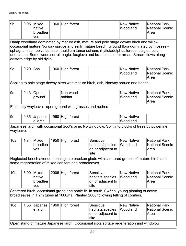| 9b                                                                                                                                                                                                                                                                                                                                                                                                           | 0.95                                                                                                                                                                             | Mixed<br>native<br>broadlea<br>ves |  | 1960 High forest                                           |                                                                                                  | <b>New Native</b><br>Woodland | National Park,<br><b>National Scenic</b><br>Area |  |  |
|--------------------------------------------------------------------------------------------------------------------------------------------------------------------------------------------------------------------------------------------------------------------------------------------------------------------------------------------------------------------------------------------------------------|----------------------------------------------------------------------------------------------------------------------------------------------------------------------------------|------------------------------------|--|------------------------------------------------------------|--------------------------------------------------------------------------------------------------|-------------------------------|--------------------------------------------------|--|--|
| Damp woodland dominated by mature ash, mature and pole stage downy birch and willow,<br>occasional mature Norway spruce and early mature beech. Ground flora dominated by mosses -<br>sphagnum sp., polytricum sp., thuidium tamariscinum, rhytidiadelphus loreus, plagiothecium<br>undulatum. Some wood sorrel, bugle, foxglove and bramble in drier areas. Stream flows along<br>eastern edge by old dyke. |                                                                                                                                                                                  |                                    |  |                                                            |                                                                                                  |                               |                                                  |  |  |
| 9c                                                                                                                                                                                                                                                                                                                                                                                                           | $0.20$ Ash                                                                                                                                                                       |                                    |  | 1960 High forest                                           |                                                                                                  | <b>New Native</b><br>Woodland | National Park,<br><b>National Scenic</b><br>Area |  |  |
|                                                                                                                                                                                                                                                                                                                                                                                                              |                                                                                                                                                                                  |                                    |  |                                                            | Sapling to pole stage downy birch with mature birch, ash, Norway spruce and beech.               |                               |                                                  |  |  |
| 9d                                                                                                                                                                                                                                                                                                                                                                                                           | 0.43                                                                                                                                                                             | Open<br>ground                     |  | Non-wood<br>habitat                                        |                                                                                                  | <b>New Native</b><br>Woodland | National Park,<br><b>National Scenic</b><br>Area |  |  |
|                                                                                                                                                                                                                                                                                                                                                                                                              |                                                                                                                                                                                  |                                    |  | Electricity wayleave - open ground with grasses and rushes |                                                                                                  |                               |                                                  |  |  |
| 9e                                                                                                                                                                                                                                                                                                                                                                                                           | 0.36                                                                                                                                                                             | Japanes<br>e larch                 |  | 1960 High forest                                           |                                                                                                  | <b>New Native</b><br>Woodland |                                                  |  |  |
| wayleave.                                                                                                                                                                                                                                                                                                                                                                                                    |                                                                                                                                                                                  |                                    |  |                                                            | Japanese larch with occasional Scot's pine. No windblow. Split into blocks of trees by powerline |                               |                                                  |  |  |
| 10a                                                                                                                                                                                                                                                                                                                                                                                                          | 1.84                                                                                                                                                                             | Mixed<br>broadlea<br>ves           |  | 1950 High forest                                           | Sensitive<br>habitats/species<br>on or adjacent to<br>site                                       | <b>New Native</b><br>Woodland | National Park,<br><b>National Scenic</b><br>Area |  |  |
|                                                                                                                                                                                                                                                                                                                                                                                                              |                                                                                                                                                                                  |                                    |  | some regeneration of mixed conifers and broadleaves.       | Neglected beech avenue opening into bracken glade with scattered groups of mature birch and      |                               |                                                  |  |  |
| 10 <sub>b</sub>                                                                                                                                                                                                                                                                                                                                                                                              | 3.00                                                                                                                                                                             | Mixed<br>native<br>broadlea<br>ves |  | 2006 High forest                                           | Sensitive<br>habitats/species<br>on or adjacent to<br>site                                       | <b>New Native</b><br>Woodland | National Park,<br><b>National Scenic</b><br>Area |  |  |
|                                                                                                                                                                                                                                                                                                                                                                                                              | Scattered birch, occasional grand and noble fir. In south, 0.45ha, young planting of native<br>broadleaves in 1.2m tubes at 1600/ha. Planted 2006 following felling of conifers. |                                    |  |                                                            |                                                                                                  |                               |                                                  |  |  |
| 10 <sub>c</sub>                                                                                                                                                                                                                                                                                                                                                                                              | 1.55                                                                                                                                                                             | Japanes<br>e larch                 |  | 1960 High forest                                           | Sensitive<br>habitats/species<br>on or adjacent to<br>site                                       | <b>New Native</b><br>Woodland | National Park,<br><b>National Scenic</b><br>Area |  |  |
| Open stand of mature Japanese larch. Occasional sitka spruce regeneration and windblow.                                                                                                                                                                                                                                                                                                                      |                                                                                                                                                                                  |                                    |  |                                                            |                                                                                                  |                               |                                                  |  |  |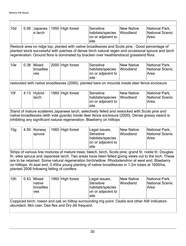| 10d                                                                                                                                                                                                                                                                                                                                                                                                                                                                   | 0.99                                                                                                                                                                                                                                                                                            | Japanes<br>e larch                        |      | 1950 High forest | Sensitive<br>habitats/species<br>on or adjacent to<br>site                                   | <b>New Native</b><br>Woodland | National Park,<br><b>National Scenic</b><br>Area |  |  |  |
|-----------------------------------------------------------------------------------------------------------------------------------------------------------------------------------------------------------------------------------------------------------------------------------------------------------------------------------------------------------------------------------------------------------------------------------------------------------------------|-------------------------------------------------------------------------------------------------------------------------------------------------------------------------------------------------------------------------------------------------------------------------------------------------|-------------------------------------------|------|------------------|----------------------------------------------------------------------------------------------|-------------------------------|--------------------------------------------------|--|--|--|
|                                                                                                                                                                                                                                                                                                                                                                                                                                                                       | Restock area on ridge top, planted with native broadleaves and Scots pine . Good percentage of<br>planted stock successful with patches of dense birch natural regen and occasional spruce and larch<br>regeneration. Ground flora is dominated by bracken over heathland/acid grassland flora. |                                           |      |                  |                                                                                              |                               |                                                  |  |  |  |
| 10 <sub>e</sub>                                                                                                                                                                                                                                                                                                                                                                                                                                                       | 0.38                                                                                                                                                                                                                                                                                            | <b>Mixed</b><br>broadlea<br>ves           | 2000 | High forest      | Sensitive<br>habitats/species<br>on or adjacent to<br>site                                   | <b>New Native</b><br>Woodland | National Park,<br><b>National Scenic</b><br>Area |  |  |  |
|                                                                                                                                                                                                                                                                                                                                                                                                                                                                       |                                                                                                                                                                                                                                                                                                 |                                           |      |                  | restocked with native broadleaves (2000), planted bare on mounds inside deer fence enclosure |                               |                                                  |  |  |  |
| 10f                                                                                                                                                                                                                                                                                                                                                                                                                                                                   | 4.13                                                                                                                                                                                                                                                                                            | <b>Hybrid</b><br>larch                    |      | 1960 High forest | Sensitive<br>habitats/species<br>on or adjacent to<br>site                                   | <b>New Native</b><br>Woodland | National Park,<br><b>National Scenic</b><br>Area |  |  |  |
|                                                                                                                                                                                                                                                                                                                                                                                                                                                                       | Stand of mature scattered Japanese larch, selectively felled and restocked with Scots pine and<br>native broadleaves (with vole guards) inside deer fence enclosure (2000). Dense grassy sward is<br>inhibiting any significant natural regeneration. Blaeberry on hilltops                     |                                           |      |                  |                                                                                              |                               |                                                  |  |  |  |
| 10 <sub>g</sub>                                                                                                                                                                                                                                                                                                                                                                                                                                                       | 4.50                                                                                                                                                                                                                                                                                            | Norway<br>spruce                          |      | 1960 High forest | Legal issues,<br>Sensitive<br>habitats/species<br>on or adjacent to<br>site                  | <b>New Native</b><br>Woodland | National Park,<br><b>National Scenic</b><br>Area |  |  |  |
| Strips of various line mixtures of mature trees; beech, birch, Scots pine, grand fir, noble fir, Douglas<br>fir, sitka spruce and Japanese larch. Two areas have been felled giving views out to the loch. These<br>are to be retained. Some natural regeneration birch/willow. Rhododendron at west end. Blaeberry<br>on hilltops. At east end, 0.45ha young planting of native broadleaves in 1.2m tubes at 1600/ha,<br>planted 2006 following felling of conifers. |                                                                                                                                                                                                                                                                                                 |                                           |      |                  |                                                                                              |                               |                                                  |  |  |  |
| 10 <sub>h</sub>                                                                                                                                                                                                                                                                                                                                                                                                                                                       | 0.43                                                                                                                                                                                                                                                                                            | <b>Mixed</b><br>native<br>broadlea<br>ves |      | 1960 High forest | Legal issues,<br>Sensitive<br>habitats/species<br>on or adjacent to<br>site                  | <b>New Native</b><br>Woodland | National Park,<br><b>National Scenic</b><br>Area |  |  |  |
|                                                                                                                                                                                                                                                                                                                                                                                                                                                                       | Coppiced birch, rowan and oak on hilltop surrounding trig point. Oxalis and other AW indicators<br>abundant. Mol caer, Des flex and Dry dili frequent.                                                                                                                                          |                                           |      |                  |                                                                                              |                               |                                                  |  |  |  |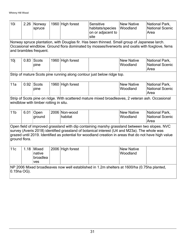| 10i                                                                                                                                                                                                                                                                                                                     | 2.26 | Norway<br>spruce                      |  | 1960 High forest         | Sensitive<br>habitats/species<br>on or adjacent to<br>site                                       | <b>New Native</b><br>Woodland | National Park,<br><b>National Scenic</b><br>Area |  |  |
|-------------------------------------------------------------------------------------------------------------------------------------------------------------------------------------------------------------------------------------------------------------------------------------------------------------------------|------|---------------------------------------|--|--------------------------|--------------------------------------------------------------------------------------------------|-------------------------------|--------------------------------------------------|--|--|
| Norway spruce plantation, with Douglas fir. Has been thinned. Small group of Japanese larch.<br>Occasional windblow. Ground flora dominated by mosses/liverworts and oxalis with foxglove, ferns<br>and brambles frequent.                                                                                              |      |                                       |  |                          |                                                                                                  |                               |                                                  |  |  |
| 10j                                                                                                                                                                                                                                                                                                                     | 0.83 | Scots<br>pine                         |  | 1960 High forest         |                                                                                                  | <b>New Native</b><br>Woodland | National Park,<br><b>National Scenic</b><br>Area |  |  |
|                                                                                                                                                                                                                                                                                                                         |      |                                       |  |                          | Strip of mature Scots pine running along contour just below ridge top.                           |                               |                                                  |  |  |
| 11a                                                                                                                                                                                                                                                                                                                     | 0.92 | Scots<br>pine                         |  | 1960 High forest         |                                                                                                  | <b>New Native</b><br>Woodland | National Park,<br><b>National Scenic</b><br>Area |  |  |
|                                                                                                                                                                                                                                                                                                                         |      | windblow with timber rotting in situ. |  |                          | Strip of Scots pine on ridge. With scattered mature mixed broadleaves, 2 veteran ash. Occasional |                               |                                                  |  |  |
| 11 <sub>b</sub>                                                                                                                                                                                                                                                                                                         | 6.01 | Open<br>ground                        |  | 2006 Non-wood<br>habitat |                                                                                                  | <b>New Native</b><br>Woodland | National Park,<br><b>National Scenic</b><br>Area |  |  |
| Open field of improved grassland with dip containing marshy grassland between two slopes. NVC<br>survey (Averis 2018) identified grassland of botanical interest (U4 and M23a). The whole was<br>grazed until 2019. Identified as potential for woodland creation in areas that do not have high value<br>ground flora. |      |                                       |  |                          |                                                                                                  |                               |                                                  |  |  |
| 11c                                                                                                                                                                                                                                                                                                                     | 1.18 | Mixed<br>native<br>broadlea<br>ves    |  | 2006 High forest         |                                                                                                  | <b>New Native</b><br>Woodland |                                                  |  |  |
| NP 2006 Mixed broadleaves now well established in 1.2m shelters at 1600/ha (0.75ha planted,<br>0.15ha OG).                                                                                                                                                                                                              |      |                                       |  |                          |                                                                                                  |                               |                                                  |  |  |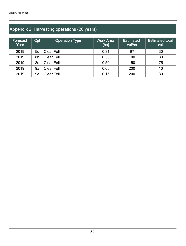## Appendix 2: Harvesting operations (20 years)

| <b>Forecast</b><br>Year | Cpt | <b>Operation Type</b> | <b>Work Area</b><br>(ha) | <b>Estimated</b><br>vol/ha | <b>Estimated total</b><br>vol. |
|-------------------------|-----|-----------------------|--------------------------|----------------------------|--------------------------------|
| 2019                    | 5d  | Clear Fell            | 0.31                     | 97                         | 30                             |
| 2019                    | 8b  | Clear Fell            | 0.30                     | 100                        | 30                             |
| 2019                    | 8d  | Clear Fell            | 0.50                     | 150                        | 75                             |
| 2019                    | 9a  | Clear Fell            | 0.05                     | 200                        | 10                             |
| 2019                    | 9e  | <b>Clear Fell</b>     | 0.15                     | 200                        | 30                             |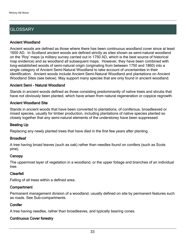## **GLOSSARY**

#### Ancient Woodland

Ancient woods are defined as those where there has been continuous woodland cover since at least 1600 AD. In Scotland ancient woods are defined strictly as sites shown as semi-natural woodland on the 'Roy' maps (a military survey carried out in 1750 AD, which is the best source of historical map evidence) and as woodland all subsequent maps. However, they have been combined with long-established woods of semi-natural origin (originating from between 1750 and 1860) into a single category of Ancient Semi-Natural Woodland to take account of uncertainties in their identification. Ancient woods include Ancient Semi-Natural Woodland and plantations on Ancient Woodland Sites (see below). May support many species that are only found in ancient woodland.

#### Ancient Semi - Natural Woodland

Stands in ancient woods defined as those consisting predominantly of native trees and shrubs that have not obviously been planted, which have arisen from natural regeneration or coppice regrowth.

#### Ancient Woodland Site

Stands in ancient woods that have been converted to plantations, of coniferous, broadleaved or mixed species, usually for timber production, including plantations of native species planted so closely together that any semi-natural elements of the understorey have been suppressed.

#### Beating Up

Replacing any newly planted trees that have died in the first few years after planting.

#### **Broadleaf**

A tree having broad leaves (such as oak) rather than needles found on conifers (such as Scots pine).

#### **Canopy**

The uppermost layer of vegetation in a woodland, or the upper foliage and branches of an individual tree.

#### Clearfell

Felling of all trees within a defined area.

#### **Compartment**

Permanent management division of a woodland, usually defined on site by permanent features such as roads. See Sub-compartments.

#### **Conifer**

A tree having needles, rather than broadleaves, and typically bearing cones.

#### Continuous Cover forestry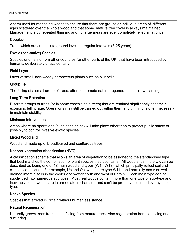A term used for managing woods to ensure that there are groups or individual trees of different ages scattered over the whole wood and that some mature tree cover is always maintained. Management is by repeated thinning and no large areas are ever completely felled all at once.

#### **Coppice**

Trees which are cut back to ground levels at regular intervals (3-25 years).

#### Exotic (non-native) Species

Species originating from other countries (or other parts of the UK) that have been introduced by humans, deliberately or accidentally.

#### Field Layer

Layer of small, non-woody herbaceous plants such as bluebells.

#### Group Fell

The felling of a small group of trees, often to promote natural regeneration or allow planting.

#### Long Term Retention

Discrete groups of trees (or in some cases single trees) that are retained significantly past their economic felling age. Operations may still be carried out within them and thinning is often necessary to maintain stability.

#### Minimum Intervention

Areas where no operations (such as thinning) will take place other than to protect public safety or possibly to control invasive exotic species.

#### Mixed Woodland

Woodland made up of broadleaved and coniferous trees.

#### National vegetation classification (NVC)

A classification scheme that allows an area of vegetation to be assigned to the standardised type that best matches the combination of plant species that it contains. All woodlands in the UK can be described as being one of 18 main woodland types (W1 - W18), which principally reflect soil and climatic conditions. For example, Upland Oakwoods are type W11, and normally occur on well drained infertile soils in the cooler and wetter north and west of Britain. Each main type can be subdivided into numerous subtypes. Most real woods contain more than one type or sub-type and inevitably some woods are intermediate in character and can't be properly described by any sub type.

#### Native Species

Species that arrived in Britain without human assistance.

#### Natural Regeneration

Naturally grown trees from seeds falling from mature trees. Also regeneration from coppicing and suckering.